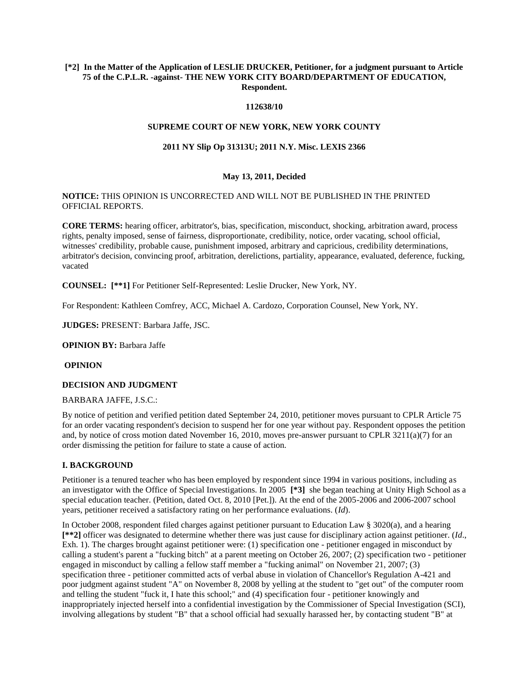## **[\*2] In the Matter of the Application of LESLIE DRUCKER, Petitioner, for a judgment pursuant to Article 75 of the C.P.L.R. -against- THE NEW YORK CITY BOARD/DEPARTMENT OF EDUCATION, Respondent.**

## **112638/10**

#### **SUPREME COURT OF NEW YORK, NEW YORK COUNTY**

## **2011 NY Slip Op 31313U; 2011 N.Y. Misc. LEXIS 2366**

## **May 13, 2011, Decided**

**NOTICE:** THIS OPINION IS UNCORRECTED AND WILL NOT BE PUBLISHED IN THE PRINTED OFFICIAL REPORTS.

**CORE TERMS:** hearing officer, arbitrator's, bias, specification, misconduct, shocking, arbitration award, process rights, penalty imposed, sense of fairness, disproportionate, credibility, notice, order vacating, school official, witnesses' credibility, probable cause, punishment imposed, arbitrary and capricious, credibility determinations, arbitrator's decision, convincing proof, arbitration, derelictions, partiality, appearance, evaluated, deference, fucking, vacated

**COUNSEL: [\*\*1]** For Petitioner Self-Represented: Leslie Drucker, New York, NY.

For Respondent: Kathleen Comfrey, ACC, Michael A. Cardozo, Corporation Counsel, New York, NY.

**JUDGES:** PRESENT: Barbara Jaffe, JSC.

**OPINION BY:** Barbara Jaffe

**OPINION**

#### **DECISION AND JUDGMENT**

#### BARBARA JAFFE, J.S.C.:

By notice of petition and verified petition dated September 24, 2010, petitioner moves pursuant to CPLR Article 75 for an order vacating respondent's decision to suspend her for one year without pay. Respondent opposes the petition and, by notice of cross motion dated November 16, 2010, moves pre-answer pursuant to CPLR  $3211(a)(7)$  for an order dismissing the petition for failure to state a cause of action.

#### **I. BACKGROUND**

Petitioner is a tenured teacher who has been employed by respondent since 1994 in various positions, including as an investigator with the Office of Special Investigations. In 2005 **[\*3]** she began teaching at Unity High School as a special education teacher. (Petition, dated Oct. 8, 2010 [Pet.]). At the end of the 2005-2006 and 2006-2007 school years, petitioner received a satisfactory rating on her performance evaluations. (*Id*).

In October 2008, respondent filed charges against petitioner pursuant to Education Law § 3020(a), and a hearing **[\*\*2]** officer was designated to determine whether there was just cause for disciplinary action against petitioner. (*Id*., Exh. 1). The charges brought against petitioner were: (1) specification one - petitioner engaged in misconduct by calling a student's parent a "fucking bitch" at a parent meeting on October 26, 2007; (2) specification two - petitioner engaged in misconduct by calling a fellow staff member a "fucking animal" on November 21, 2007; (3) specification three - petitioner committed acts of verbal abuse in violation of Chancellor's Regulation A-421 and poor judgment against student "A" on November 8, 2008 by yelling at the student to "get out" of the computer room and telling the student "fuck it, I hate this school;" and (4) specification four - petitioner knowingly and inappropriately injected herself into a confidential investigation by the Commissioner of Special Investigation (SCI), involving allegations by student "B" that a school official had sexually harassed her, by contacting student "B" at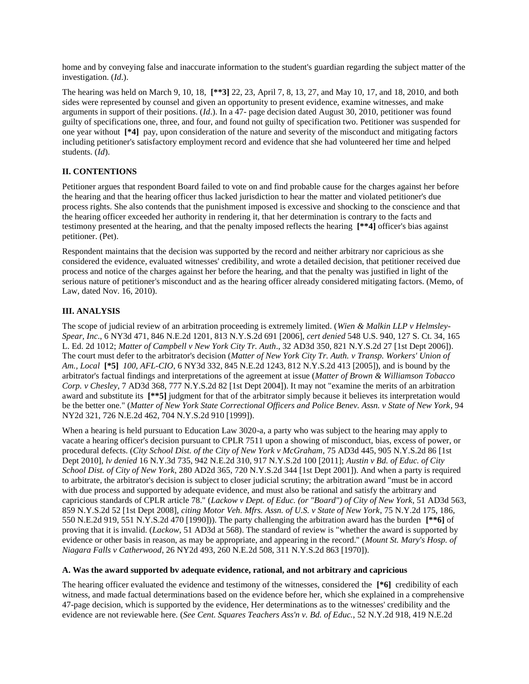home and by conveying false and inaccurate information to the student's guardian regarding the subject matter of the investigation. (*Id*.).

The hearing was held on March 9, 10, 18, **[\*\*3]** 22, 23, April 7, 8, 13, 27, and May 10, 17, and 18, 2010, and both sides were represented by counsel and given an opportunity to present evidence, examine witnesses, and make arguments in support of their positions. (*Id*.). In a 47- page decision dated August 30, 2010, petitioner was found guilty of specifications one, three, and four, and found not guilty of specification two. Petitioner was suspended for one year without **[\*4]** pay, upon consideration of the nature and severity of the misconduct and mitigating factors including petitioner's satisfactory employment record and evidence that she had volunteered her time and helped students. (*Id*).

# **II. CONTENTIONS**

Petitioner argues that respondent Board failed to vote on and find probable cause for the charges against her before the hearing and that the hearing officer thus lacked jurisdiction to hear the matter and violated petitioner's due process rights. She also contends that the punishment imposed is excessive and shocking to the conscience and that the hearing officer exceeded her authority in rendering it, that her determination is contrary to the facts and testimony presented at the hearing, and that the penalty imposed reflects the hearing **[\*\*4]** officer's bias against petitioner. (Pet).

Respondent maintains that the decision was supported by the record and neither arbitrary nor capricious as she considered the evidence, evaluated witnesses' credibility, and wrote a detailed decision, that petitioner received due process and notice of the charges against her before the hearing, and that the penalty was justified in light of the serious nature of petitioner's misconduct and as the hearing officer already considered mitigating factors. (Memo, of Law, dated Nov. 16, 2010).

# **III. ANALYSIS**

The scope of judicial review of an arbitration proceeding is extremely limited. (*Wien & Malkin LLP v Helmsley-Spear, Inc*., 6 NY3d 471, 846 N.E.2d 1201, 813 N.Y.S.2d 691 [2006], *cert denied* 548 U.S. 940, 127 S. Ct. 34, 165 L. Ed. 2d 1012; *Matter of Campbell v New York City Tr. Auth*., 32 AD3d 350, 821 N.Y.S.2d 27 [1st Dept 2006]). The court must defer to the arbitrator's decision (*Matter of New York City Tr. Auth. v Transp. Workers' Union of Am., Local* **[\*5]** *100, AFL-CIO*, 6 NY3d 332, 845 N.E.2d 1243, 812 N.Y.S.2d 413 [2005]), and is bound by the arbitrator's factual findings and interpretations of the agreement at issue (*Matter of Brown & Williamson Tobacco Corp. v Chesley*, 7 AD3d 368, 777 N.Y.S.2d 82 [1st Dept 2004]). It may not "examine the merits of an arbitration award and substitute its **[\*\*5]** judgment for that of the arbitrator simply because it believes its interpretation would be the better one." (*Matter of New York State Correctional Officers and Police Benev. Assn. v State of New York*, 94 NY2d 321, 726 N.E.2d 462, 704 N.Y.S.2d 910 [1999]).

When a hearing is held pursuant to Education Law 3020-a, a party who was subject to the hearing may apply to vacate a hearing officer's decision pursuant to CPLR 7511 upon a showing of misconduct, bias, excess of power, or procedural defects. (*City School Dist. of the City of New York v McGraham*, 75 AD3d 445, 905 N.Y.S.2d 86 [1st Dept 2010], *lv denied* 16 N.Y.3d 735, 942 N.E.2d 310, 917 N.Y.S.2d 100 [2011]; *Austin v Bd. of Educ. of City School Dist. of City of New York*, 280 AD2d 365, 720 N.Y.S.2d 344 [1st Dept 2001]). And when a party is required to arbitrate, the arbitrator's decision is subject to closer judicial scrutiny; the arbitration award "must be in accord with due process and supported by adequate evidence, and must also be rational and satisfy the arbitrary and capricious standards of CPLR article 78." (*Lackow v Dept. of Educ. (or "Board") of City of New York*, 51 AD3d 563, 859 N.Y.S.2d 52 [1st Dept 2008], *citing Motor Veh. Mfrs. Assn. of U.S. v State of New York*, 75 N.Y.2d 175, 186, 550 N.E.2d 919, 551 N.Y.S.2d 470 [1990])). The party challenging the arbitration award has the burden **[\*\*6]** of proving that it is invalid. (*Lackow*, 51 AD3d at 568). The standard of review is "whether the award is supported by evidence or other basis in reason, as may be appropriate, and appearing in the record." (*Mount St. Mary's Hosp. of Niagara Falls v Catherwood*, 26 NY2d 493, 260 N.E.2d 508, 311 N.Y.S.2d 863 [1970]).

# **A. Was the award supported bv adequate evidence, rational, and not arbitrary and capricious**

The hearing officer evaluated the evidence and testimony of the witnesses, considered the **[\*6]** credibility of each witness, and made factual determinations based on the evidence before her, which she explained in a comprehensive 47-page decision, which is supported by the evidence, Her determinations as to the witnesses' credibility and the evidence are not reviewable here. (*See Cent. Squares Teachers Ass'n v. Bd. of Educ.*, 52 N.Y.2d 918, 419 N.E.2d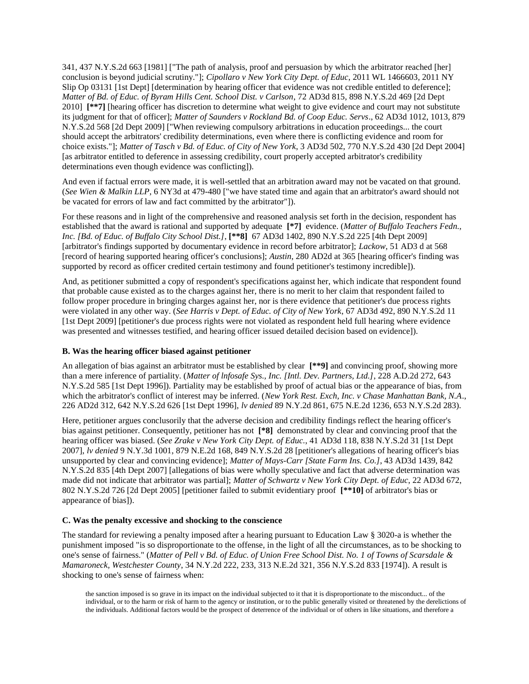341, 437 N.Y.S.2d 663 [1981] ["The path of analysis, proof and persuasion by which the arbitrator reached [her] conclusion is beyond judicial scrutiny."]; *Cipollaro v New York City Dept. of Educ*, 2011 WL 1466603, 2011 NY Slip Op 03131 [1st Dept] [determination by hearing officer that evidence was not credible entitled to deference]; *Matter of Bd. of Educ. of Byram Hills Cent. School Dist. v Carlson*, 72 AD3d 815, 898 N.Y.S.2d 469 [2d Dept 2010] **[\*\*7]** [hearing officer has discretion to determine what weight to give evidence and court may not substitute its judgment for that of officer]; *Matter of Saunders v Rockland Bd. of Coop Educ. Servs*., 62 AD3d 1012, 1013, 879 N.Y.S.2d 568 [2d Dept 2009] ["When reviewing compulsory arbitrations in education proceedings... the court should accept the arbitrators' credibility determinations, even where there is conflicting evidence and room for choice exists."]; *Matter of Tasch v Bd. of Educ. of City of New York*, 3 AD3d 502, 770 N.Y.S.2d 430 [2d Dept 2004] [as arbitrator entitled to deference in assessing credibility, court properly accepted arbitrator's credibility determinations even though evidence was conflicting]).

And even if factual errors were made, it is well-settled that an arbitration award may not be vacated on that ground. (*See Wien & Malkin LLP*, 6 NY3d at 479-480 ["we have stated time and again that an arbitrator's award should not be vacated for errors of law and fact committed by the arbitrator"]).

For these reasons and in light of the comprehensive and reasoned analysis set forth in the decision, respondent has established that the award is rational and supported by adequate **[\*7]** evidence. (*Matter of Buffalo Teachers Fedn., Inc. [Bd. of Educ. of Buffalo City School Dist.]*, **[\*\*8]** 67 AD3d 1402, 890 N.Y.S.2d 225 [4th Dept 2009] [arbitrator's findings supported by documentary evidence in record before arbitrator]; *Lackow*, 51 AD3 d at 568 [record of hearing supported hearing officer's conclusions]; *Austin*, 280 AD2d at 365 [hearing officer's finding was supported by record as officer credited certain testimony and found petitioner's testimony incredible]).

And, as petitioner submitted a copy of respondent's specifications against her, which indicate that respondent found that probable cause existed as to the charges against her, there is no merit to her claim that respondent failed to follow proper procedure in bringing charges against her, nor is there evidence that petitioner's due process rights were violated in any other way. (*See Harris v Dept. of Educ. of City of New York*, 67 AD3d 492, 890 N.Y.S.2d 11 [1st Dept 2009] [petitioner's due process rights were not violated as respondent held full hearing where evidence was presented and witnesses testified, and hearing officer issued detailed decision based on evidence]).

#### **B. Was the hearing officer biased against petitioner**

An allegation of bias against an arbitrator must be established by clear **[\*\*9]** and convincing proof, showing more than a mere inference of partiality. (*Matter of lnfosafe Sys., Inc. [Intl. Dev. Partners, Ltd.]*, 228 A.D.2d 272, 643 N.Y.S.2d 585 [1st Dept 1996]). Partiality may be established by proof of actual bias or the appearance of bias, from which the arbitrator's conflict of interest may be inferred. (*New York Rest. Exch, Inc. v Chase Manhattan Bank, N.A*., 226 AD2d 312, 642 N.Y.S.2d 626 [1st Dept 1996], *lv denied* 89 N.Y.2d 861, 675 N.E.2d 1236, 653 N.Y.S.2d 283).

Here, petitioner argues conclusorily that the adverse decision and credibility findings reflect the hearing officer's bias against petitioner. Consequently, petitioner has not **[\*8]** demonstrated by clear and convincing proof that the hearing officer was biased. (*See Zrake v New York City Dept. of Educ.*, 41 AD3d 118, 838 N.Y.S.2d 31 [1st Dept 2007], *lv denied* 9 N.Y.3d 1001, 879 N.E.2d 168, 849 N.Y.S.2d 28 [petitioner's allegations of hearing officer's bias unsupported by clear and convincing evidence]; *Matter of Mays-Carr [State Farm Ins. Co.]*, 43 AD3d 1439, 842 N.Y.S.2d 835 [4th Dept 2007] [allegations of bias were wholly speculative and fact that adverse determination was made did not indicate that arbitrator was partial]; *Matter of Schwartz v New York City Dept. of Educ*, 22 AD3d 672, 802 N.Y.S.2d 726 [2d Dept 2005] [petitioner failed to submit evidentiary proof **[\*\*10]** of arbitrator's bias or appearance of bias]).

# **C. Was the penalty excessive and shocking to the conscience**

The standard for reviewing a penalty imposed after a hearing pursuant to Education Law § 3020-a is whether the punishment imposed "is so disproportionate to the offense, in the light of all the circumstances, as to be shocking to one's sense of fairness." (*Matter of Pell v Bd. of Educ. of Union Free School Dist. No. 1 of Towns of Scarsdale & Mamaroneck, Westchester County*, 34 N.Y.2d 222, 233, 313 N.E.2d 321, 356 N.Y.S.2d 833 [1974]). A result is shocking to one's sense of fairness when:

the sanction imposed is so grave in its impact on the individual subjected to it that it is disproportionate to the misconduct... of the individual, or to the harm or risk of harm to the agency or institution, or to the public generally visited or threatened by the derelictions of the individuals. Additional factors would be the prospect of deterrence of the individual or of others in like situations, and therefore a